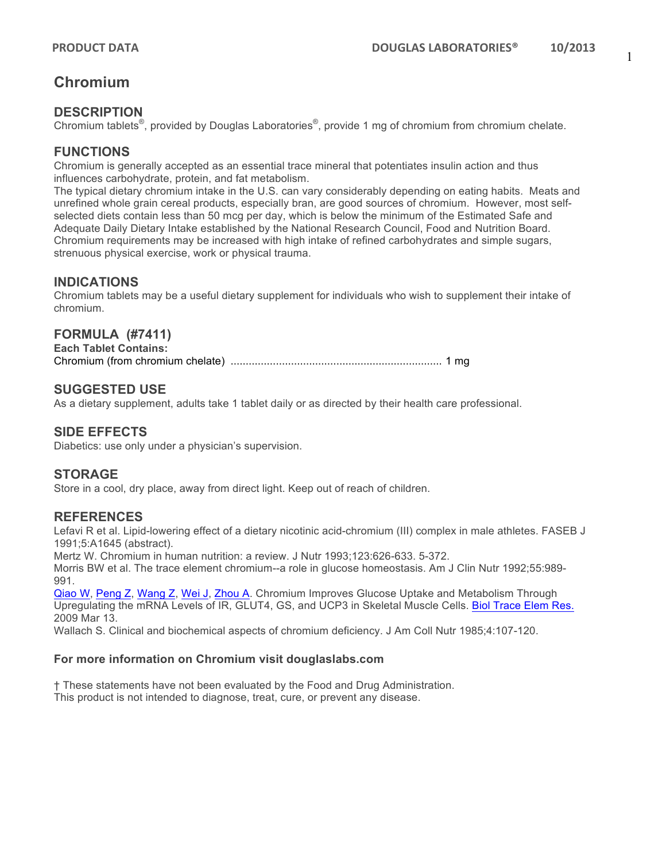## **Chromium**

## **DESCRIPTION**

Chromium tablets<sup>®</sup>, provided by Douglas Laboratories<sup>®</sup>, provide 1 mg of chromium from chromium chelate.

## **FUNCTIONS**

Chromium is generally accepted as an essential trace mineral that potentiates insulin action and thus influences carbohydrate, protein, and fat metabolism.

The typical dietary chromium intake in the U.S. can vary considerably depending on eating habits. Meats and unrefined whole grain cereal products, especially bran, are good sources of chromium. However, most selfselected diets contain less than 50 mcg per day, which is below the minimum of the Estimated Safe and Adequate Daily Dietary Intake established by the National Research Council, Food and Nutrition Board. Chromium requirements may be increased with high intake of refined carbohydrates and simple sugars, strenuous physical exercise, work or physical trauma.

## **INDICATIONS**

Chromium tablets may be a useful dietary supplement for individuals who wish to supplement their intake of chromium.

#### **FORMULA (#7411)**

**Each Tablet Contains:** Chromium (from chromium chelate) ...................................................................... 1 mg

#### **SUGGESTED USE**

As a dietary supplement, adults take 1 tablet daily or as directed by their health care professional.

#### **SIDE EFFECTS**

Diabetics: use only under a physician's supervision.

### **STORAGE**

Store in a cool, dry place, away from direct light. Keep out of reach of children.

#### **REFERENCES**

Lefavi R et al. Lipid-lowering effect of a dietary nicotinic acid-chromium (III) complex in male athletes. FASEB J 1991;5:A1645 (abstract).

Mertz W. Chromium in human nutrition: a review. J Nutr 1993;123:626-633. 5-372.

Morris BW et al. The trace element chromium--a role in glucose homeostasis. Am J Clin Nutr 1992;55:989- 991.

Qiao W, Peng Z, Wang Z, Wei J, Zhou A. Chromium Improves Glucose Uptake and Metabolism Through Upregulating the mRNA Levels of IR, GLUT4, GS, and UCP3 in Skeletal Muscle Cells. Biol Trace Elem Res. 2009 Mar 13.

Wallach S. Clinical and biochemical aspects of chromium deficiency. J Am Coll Nutr 1985;4:107-120.

#### **For more information on Chromium visit douglaslabs.com**

† These statements have not been evaluated by the Food and Drug Administration. This product is not intended to diagnose, treat, cure, or prevent any disease.

1